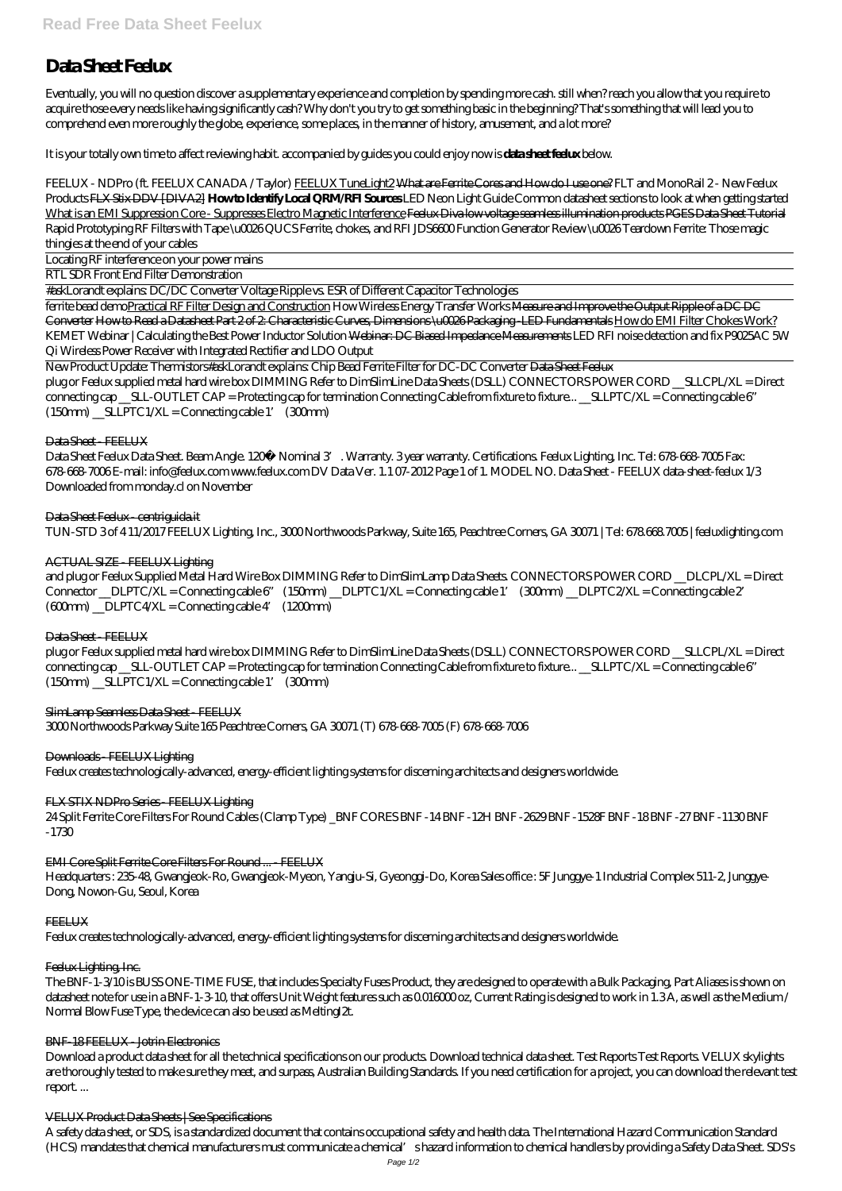# **Data Sheet Feelux**

Eventually, you will no question discover a supplementary experience and completion by spending more cash. still when? reach you allow that you require to acquire those every needs like having significantly cash? Why don't you try to get something basic in the beginning? That's something that will lead you to comprehend even more roughly the globe, experience, some places, in the manner of history, amusement, and a lot more?

It is your totally own time to affect reviewing habit. accompanied by guides you could enjoy now is **data sheet feelux** below.

FEELUX - NDPro (ft. FEELUX CANADA / Taylor) FEELUX TuneLight2 What are Ferrite Cores and How do I use one? *FLT and MonoRail 2 - New Feelux Products* FLX Stix DDV [DIVA2] **How to Identify Local QRM/RFI Sources** *LED Neon Light Guide Common datasheet sections to look at when getting started* What is an EMI Suppression Core - Suppresses Electro Magnetic Interference <del>Feelux Diva low voltage scamless illumination products PGES Data Sheet Tutorial</del> Rapid Prototyping RF Filters with Tape \u0026 QUCS Ferrite, chokes, and RFI *JDS6600 Function Generator Review \u0026 Teardown* Ferrite: Those magic thingies at the end of your cables

New Product Update: Thermistors*#askLorandt explains: Chip Bead Ferrite Filter for DC-DC Converter* Data Sheet Feelux plug or Feelux supplied metal hard wire box DIMMING Refer to DimSlimLine Data Sheets (DSLL) CONNECTORS POWER CORD \_\_SLLCPL/XL = Direct connecting cap \_\_SLL-OUTLET CAP = Protecting cap for termination Connecting Cable from fixture to fixture... \_\_SLLPTC/XL = Connecting cable 6"  $(150 \text{nm})$  \_SLLPTC  $1/XL$  = Connecting cable 1'  $(300 \text{nm})$ 

## Data Sheet - FEELUX

Locating RF interference on your power mains

RTL SDR Front End Filter Demonstration

Data Sheet Feelux Data Sheet. Beam Angle. 120° Nominal 3 Warranty. 3 year warranty. Certifications. Feelux Lighting, Inc. Tel: 678-668-7005 Fax: 678-668-7006 E-mail: info@feelux.com www.feelux.com DV Data Ver. 1.1 07-2012 Page 1 of 1. MODEL NO. Data Sheet - FEELUX data-sheet-feelux 1/3 Downloaded from monday.cl on November

#askLorandt explains: DC/DC Converter Voltage Ripple vs. ESR of Different Capacitor Technologies

plug or Feelux supplied metal hard wire box DIMMING Refer to DimSlimLine Data Sheets (DSLL) CONNECTORS POWER CORD \_\_SLLCPL/XL = Direct connecting cap \_\_SLL-OUTLET CAP = Protecting cap for termination Connecting Cable from fixture to fixture... \_\_SLLPTC/XL = Connecting cable 6"  $(150 \text{nm})$  \_SLLPTC  $1/XL$  = Connecting cable 1'  $(300 \text{nm})$ 

### SlimLamp Scamless Data Sheet FEELUX

ferrite bead demoPractical RF Filter Design and Construction *How Wireless Energy Transfer Works* Measure and Improve the Output Ripple of a DC DC Converter How to Read a Datasheet Part 2 of 2: Characteristic Curves, Dimensions \u0026 Packaging -LED Fundamentals How do EMI Filter Chokes Work? *KEMET Webinar | Calculating the Best Power Inductor Solution* Webinar: DC Biased Impedance Measurements *LED RFI noise detection and fix P9025AC 5W Qi Wireless Power Receiver with Integrated Rectifier and LDO Output*

The BNF-1-3/10 is BUSS ONE-TIME FUSE, that includes Specialty Fuses Product, they are designed to operate with a Bulk Packaging, Part Aliases is shown on datasheet note for use in a BNF-1-3-10, that offers Unit Weight features such as 0.016000 oz, Current Rating is designed to work in 1.3A, as well as the Medium / Normal Blow Fuse Type, the device can also be used as Melting  $2t$ .

#### BNF-18 FEELUX Jotrin Electronics

Data Sheet Feelux - centriguida.it TUN-STD 3 of 4 11/2017 FEELUX Lighting, Inc., 3000 Northwoods Parkway, Suite 165, Peachtree Corners, GA 30071 | Tel: 678.668.7005 | feeluxlighting.com

# ACTUAL SIZE - FEELUX Lighting

and plug or Feelux Supplied Metal Hard Wire Box DIMMING Refer to DimSlimLamp Data Sheets. CONNECTORS POWER CORD DLCPL/XL = Direct Connector \_\_DLPTC/XL = Connecting cable 6" (150mm) \_\_DLPTC1/XL = Connecting cable 1' (300mm) \_\_DLPTC2/XL = Connecting cable 2'  $(600 \text{nm})$  \_DLPTC4/XL = Connecting cable 4'  $(1200 \text{nm})$ 

### Data Sheet FEELUX

3000 Northwoods Parkway Suite 165 Peachtree Corners, GA 30071 (T) 678-668-7005 (F) 678-668-7006

### Downloads FEELUX Lighting

Feelux creates technologically-advanced, energy-efficient lighting systems for discerning architects and designers worldwide.

### FLX STIX NDPro Series - FEELUX Lighting

24 Split Ferrite Core Filters For Round Cables (Clamp Type) \_BNF CORES BNF -14 BNF -12H BNF -2629 BNF -1528F BNF -18 BNF -27 BNF -1130 BNF -1730

# EMI Core Split Ferrite Core Filters For Round ... - FEELUX

Headquarters : 235-48, Gwangjeok-Ro, Gwangjeok-Myeon, Yangju-Si, Gyeonggi-Do, Korea Sales office : 5F Junggye-1 Industrial Complex 511-2, Junggye-Dong, Nowon-Gu, Seoul, Korea

#### **FEELUX**

Feelux creates technologically-advanced, energy-efficient lighting systems for discerning architects and designers worldwide.

#### Feelux Lighting, Inc.

Download a product data sheet for all the technical specifications on our products. Download technical data sheet. Test Reports Test Reports. VELUX skylights are thoroughly tested to make sure they meet, and surpass, Australian Building Standards. If you need certification for a project, you can download the relevant test report. ...

#### VELUX Product Data Sheets | See Specifications

A safety data sheet, or SDS, is a standardized document that contains occupational safety and health data. The International Hazard Communication Standard (HCS) mandates that chemical manufacturers must communicate a chemical's hazard information to chemical handlers by providing a Safety Data Sheet. SDS's